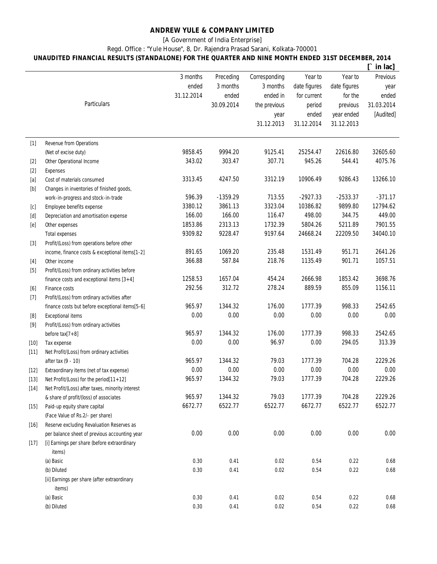## **ANDREW YULE & COMPANY LIMITED**

[A Government of India Enterprise]

Regd. Office : "Yule House", 8, Dr. Rajendra Prasad Sarani, Kolkata-700001

## **UNAUDITED FINANCIAL RESULTS (STANDALONE) FOR THE QUARTER AND NINE MONTH ENDED 31ST DECEMBER, 2014**

|                                                                                                                                                                                                                                                                                                                                                                                                                                                                                                                                                                                                                                                                                                                                                                                                                                                                                                                                |                                                  |            |            |               |              |              | in lac]    |
|--------------------------------------------------------------------------------------------------------------------------------------------------------------------------------------------------------------------------------------------------------------------------------------------------------------------------------------------------------------------------------------------------------------------------------------------------------------------------------------------------------------------------------------------------------------------------------------------------------------------------------------------------------------------------------------------------------------------------------------------------------------------------------------------------------------------------------------------------------------------------------------------------------------------------------|--------------------------------------------------|------------|------------|---------------|--------------|--------------|------------|
|                                                                                                                                                                                                                                                                                                                                                                                                                                                                                                                                                                                                                                                                                                                                                                                                                                                                                                                                |                                                  | 3 months   | Preceding  | Corresponding | Year to      | Year to      | Previous   |
|                                                                                                                                                                                                                                                                                                                                                                                                                                                                                                                                                                                                                                                                                                                                                                                                                                                                                                                                |                                                  | ended      | 3 months   | 3 months      | date figures | date figures | year       |
|                                                                                                                                                                                                                                                                                                                                                                                                                                                                                                                                                                                                                                                                                                                                                                                                                                                                                                                                |                                                  | 31.12.2014 | ended      | ended in      | for current  | for the      | ended      |
|                                                                                                                                                                                                                                                                                                                                                                                                                                                                                                                                                                                                                                                                                                                                                                                                                                                                                                                                | Particulars                                      |            | 30.09.2014 | the previous  | period       | previous     | 31.03.2014 |
|                                                                                                                                                                                                                                                                                                                                                                                                                                                                                                                                                                                                                                                                                                                                                                                                                                                                                                                                |                                                  |            |            | year          | ended        | year ended   | [Audited]  |
|                                                                                                                                                                                                                                                                                                                                                                                                                                                                                                                                                                                                                                                                                                                                                                                                                                                                                                                                |                                                  |            |            | 31.12.2013    | 31.12.2014   | 31.12.2013   |            |
|                                                                                                                                                                                                                                                                                                                                                                                                                                                                                                                                                                                                                                                                                                                                                                                                                                                                                                                                |                                                  |            |            |               |              |              |            |
| $[1]$                                                                                                                                                                                                                                                                                                                                                                                                                                                                                                                                                                                                                                                                                                                                                                                                                                                                                                                          | Revenue from Operations                          |            |            |               |              |              |            |
|                                                                                                                                                                                                                                                                                                                                                                                                                                                                                                                                                                                                                                                                                                                                                                                                                                                                                                                                | (Net of excise duty)                             | 9858.45    | 9994.20    | 9125.41       | 25254.47     | 22616.80     | 32605.60   |
| $[2]$                                                                                                                                                                                                                                                                                                                                                                                                                                                                                                                                                                                                                                                                                                                                                                                                                                                                                                                          | Other Operational Income                         | 343.02     | 303.47     | 307.71        | 945.26       | 544.41       | 4075.76    |
| $[2]$                                                                                                                                                                                                                                                                                                                                                                                                                                                                                                                                                                                                                                                                                                                                                                                                                                                                                                                          | <b>Expenses</b>                                  |            |            |               |              |              |            |
| $[a] % \begin{center} % \includegraphics[width=\linewidth]{imagesSupplemental_3.png} % \end{center} % \caption { % \textit{DefNet} and \textit{DefNet}~\textit{DefNet}~\textit{DefNet}~\textit{DefNet}~\textit{DefNet}~\textit{DefNet}~\textit{DefNet}~\textit{DefNet}~\textit{DefNet}~\textit{DefNet}~\textit{DefNet}~\textit{DefNet}~\textit{DefNet}~\textit{DefNet}~\textit{DefNet}~\textit{DefNet}~\textit{DefNet}~\textit{DefNet}~\textit{DefNet}~\textit{DefNet}~\textit{DefNet}~\textit{DefNet}$                                                                                                                                                                                                                                                                                                                                                                                                                        | Cost of materials consumed                       | 3313.45    | 4247.50    | 3312.19       | 10906.49     | 9286.43      | 13266.10   |
| $[b] % \begin{center} % \includegraphics[width=\linewidth]{imagesSupplemental_3.png} % \end{center} % \caption { % Our method can be used for the use of the image. % } % \label{fig:example} %$                                                                                                                                                                                                                                                                                                                                                                                                                                                                                                                                                                                                                                                                                                                               | Changes in inventories of finished goods,        |            |            |               |              |              |            |
|                                                                                                                                                                                                                                                                                                                                                                                                                                                                                                                                                                                                                                                                                                                                                                                                                                                                                                                                | work-in-progress and stock-in-trade              | 596.39     | $-1359.29$ | 713.55        | $-2927.33$   | $-2533.37$   | $-371.17$  |
| $[{\rm C}]$                                                                                                                                                                                                                                                                                                                                                                                                                                                                                                                                                                                                                                                                                                                                                                                                                                                                                                                    | Employee benefits expense                        | 3380.12    | 3861.13    | 3323.04       | 10386.82     | 9899.80      | 12794.62   |
| $[d] % \begin{center} % \includegraphics[width=\linewidth]{imagesSupplemental_3.png} % \end{center} % \caption { % Our method is used for the method. % Our method is used for the method. % Note that the method is used for the method. % Note that the method is used for the method. % Note that the method is used for the method. % Note that the method is used for the method. % Note that the method is used for the method. % Note that the method is used for the method. % Note that the method is used for the method. % Note that the method is used for the method. % Note that the method is used for the method. % Note that the method is used for the method. % Note that the method is used for the method. % Note that the method is used for the method. % Note that the method is used for the method. % Note that the method is used for the method. % Note that the method is used for the method. %$ | Depreciation and amortisation expense            | 166.00     | 166.00     | 116.47        | 498.00       | 344.75       | 449.00     |
| [e]                                                                                                                                                                                                                                                                                                                                                                                                                                                                                                                                                                                                                                                                                                                                                                                                                                                                                                                            | Other expenses                                   | 1853.86    | 2313.13    | 1732.39       | 5804.26      | 5211.89      | 7901.55    |
|                                                                                                                                                                                                                                                                                                                                                                                                                                                                                                                                                                                                                                                                                                                                                                                                                                                                                                                                | <b>Total expenses</b>                            | 9309.82    | 9228.47    | 9197.64       | 24668.24     | 22209.50     | 34040.10   |
| $[3]$                                                                                                                                                                                                                                                                                                                                                                                                                                                                                                                                                                                                                                                                                                                                                                                                                                                                                                                          | Profit/(Loss) from operations before other       |            |            |               |              |              |            |
|                                                                                                                                                                                                                                                                                                                                                                                                                                                                                                                                                                                                                                                                                                                                                                                                                                                                                                                                | income, finance costs & exceptional items[1-2]   | 891.65     | 1069.20    | 235.48        | 1531.49      | 951.71       | 2641.26    |
| $[4]$                                                                                                                                                                                                                                                                                                                                                                                                                                                                                                                                                                                                                                                                                                                                                                                                                                                                                                                          | Other income                                     | 366.88     | 587.84     | 218.76        | 1135.49      | 901.71       | 1057.51    |
| $[5] % \begin{center} \includegraphics[width=\linewidth]{imagesSupplemental/Imit} \caption{The image shows the image shows a single number of times.} \label{fig:limal} \end{center}$                                                                                                                                                                                                                                                                                                                                                                                                                                                                                                                                                                                                                                                                                                                                          | Profit/(Loss) from ordinary activities before    |            |            |               |              |              |            |
|                                                                                                                                                                                                                                                                                                                                                                                                                                                                                                                                                                                                                                                                                                                                                                                                                                                                                                                                | finance costs and exceptional items $[3+4]$      | 1258.53    | 1657.04    | 454.24        | 2666.98      | 1853.42      | 3698.76    |
| $[6] % \begin{center} \includegraphics[width=\linewidth]{imagesSupplemental/Imit} \caption{The image shows the image shows a function of the number of times.} \label{fig:limal} \end{center}$                                                                                                                                                                                                                                                                                                                                                                                                                                                                                                                                                                                                                                                                                                                                 | Finance costs                                    | 292.56     | 312.72     | 278.24        | 889.59       | 855.09       | 1156.11    |
| $[7]$                                                                                                                                                                                                                                                                                                                                                                                                                                                                                                                                                                                                                                                                                                                                                                                                                                                                                                                          | Profit/(Loss) from ordinary activities after     |            |            |               |              |              |            |
|                                                                                                                                                                                                                                                                                                                                                                                                                                                                                                                                                                                                                                                                                                                                                                                                                                                                                                                                | finance costs but before exceptional items[5-6]  | 965.97     | 1344.32    | 176.00        | 1777.39      | 998.33       | 2542.65    |
| [8]                                                                                                                                                                                                                                                                                                                                                                                                                                                                                                                                                                                                                                                                                                                                                                                                                                                                                                                            | <b>Exceptional items</b>                         | 0.00       | 0.00       | 0.00          | 0.00         | 0.00         | 0.00       |
|                                                                                                                                                                                                                                                                                                                                                                                                                                                                                                                                                                                                                                                                                                                                                                                                                                                                                                                                | Profit/(Loss) from ordinary activities           |            |            |               |              |              |            |
|                                                                                                                                                                                                                                                                                                                                                                                                                                                                                                                                                                                                                                                                                                                                                                                                                                                                                                                                | before $tax[7+8]$                                | 965.97     | 1344.32    | 176.00        | 1777.39      | 998.33       | 2542.65    |
| $[10]$                                                                                                                                                                                                                                                                                                                                                                                                                                                                                                                                                                                                                                                                                                                                                                                                                                                                                                                         | Tax expense                                      | 0.00       | 0.00       | 96.97         | 0.00         | 294.05       | 313.39     |
| $[11]$                                                                                                                                                                                                                                                                                                                                                                                                                                                                                                                                                                                                                                                                                                                                                                                                                                                                                                                         | Net Profit/(Loss) from ordinary activities       |            |            |               |              |              |            |
|                                                                                                                                                                                                                                                                                                                                                                                                                                                                                                                                                                                                                                                                                                                                                                                                                                                                                                                                | after tax (9 - 10)                               | 965.97     | 1344.32    | 79.03         | 1777.39      | 704.28       | 2229.26    |
| $[12]$                                                                                                                                                                                                                                                                                                                                                                                                                                                                                                                                                                                                                                                                                                                                                                                                                                                                                                                         | Extraordinary items (net of tax expense)         | 0.00       | 0.00       | 0.00          | 0.00         | 0.00         | 0.00       |
| $[13]$                                                                                                                                                                                                                                                                                                                                                                                                                                                                                                                                                                                                                                                                                                                                                                                                                                                                                                                         | Net Profit/(Loss) for the period[11+12]          | 965.97     | 1344.32    | 79.03         | 1777.39      | 704.28       | 2229.26    |
| $[14]$                                                                                                                                                                                                                                                                                                                                                                                                                                                                                                                                                                                                                                                                                                                                                                                                                                                                                                                         | Net Profit/(Loss) after taxes, minority interest |            |            |               |              |              |            |
|                                                                                                                                                                                                                                                                                                                                                                                                                                                                                                                                                                                                                                                                                                                                                                                                                                                                                                                                | & share of profit/(loss) of associates           | 965.97     | 1344.32    | 79.03         | 1777.39      | 704.28       | 2229.26    |
| $[15]$                                                                                                                                                                                                                                                                                                                                                                                                                                                                                                                                                                                                                                                                                                                                                                                                                                                                                                                         | Paid-up equity share capital                     | 6672.77    | 6522.77    | 6522.77       | 6672.77      | 6522.77      | 6522.77    |
|                                                                                                                                                                                                                                                                                                                                                                                                                                                                                                                                                                                                                                                                                                                                                                                                                                                                                                                                | (Face Value of Rs.2/- per share)                 |            |            |               |              |              |            |
| $[16]$                                                                                                                                                                                                                                                                                                                                                                                                                                                                                                                                                                                                                                                                                                                                                                                                                                                                                                                         | Reserve excluding Revaluation Reserves as        |            |            |               |              |              |            |
|                                                                                                                                                                                                                                                                                                                                                                                                                                                                                                                                                                                                                                                                                                                                                                                                                                                                                                                                | per balance sheet of previous accounting year    | 0.00       | 0.00       | 0.00          | 0.00         | 0.00         | 0.00       |
| $[17]$                                                                                                                                                                                                                                                                                                                                                                                                                                                                                                                                                                                                                                                                                                                                                                                                                                                                                                                         | [i] Earnings per share (before extraordinary     |            |            |               |              |              |            |
|                                                                                                                                                                                                                                                                                                                                                                                                                                                                                                                                                                                                                                                                                                                                                                                                                                                                                                                                | items)                                           |            |            |               |              |              |            |
|                                                                                                                                                                                                                                                                                                                                                                                                                                                                                                                                                                                                                                                                                                                                                                                                                                                                                                                                | (a) Basic                                        | 0.30       | 0.41       | 0.02          | 0.54         | 0.22         | 0.68       |
|                                                                                                                                                                                                                                                                                                                                                                                                                                                                                                                                                                                                                                                                                                                                                                                                                                                                                                                                | (b) Diluted                                      | 0.30       | 0.41       | 0.02          | 0.54         | 0.22         | 0.68       |
|                                                                                                                                                                                                                                                                                                                                                                                                                                                                                                                                                                                                                                                                                                                                                                                                                                                                                                                                | [ii] Earnings per share (after extraordinary     |            |            |               |              |              |            |
|                                                                                                                                                                                                                                                                                                                                                                                                                                                                                                                                                                                                                                                                                                                                                                                                                                                                                                                                | items)                                           |            |            |               |              |              |            |
|                                                                                                                                                                                                                                                                                                                                                                                                                                                                                                                                                                                                                                                                                                                                                                                                                                                                                                                                | (a) Basic                                        | 0.30       | 0.41       | 0.02          | 0.54         | 0.22         | 0.68       |
|                                                                                                                                                                                                                                                                                                                                                                                                                                                                                                                                                                                                                                                                                                                                                                                                                                                                                                                                | (b) Diluted                                      | 0.30       | 0.41       | 0.02          | 0.54         | 0.22         | 0.68       |